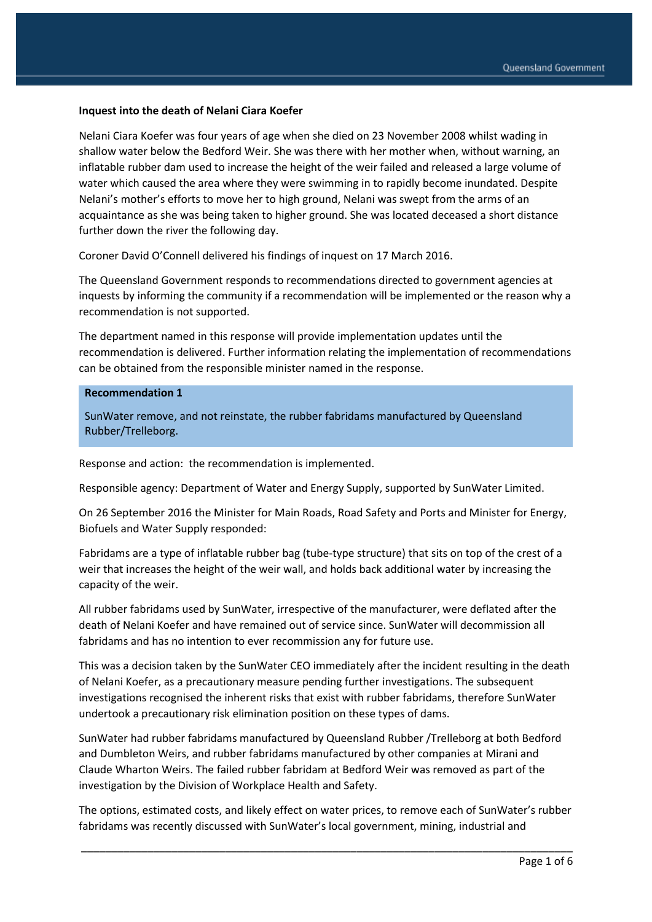#### **Inquest into the death of Nelani Ciara Koefer**

Nelani Ciara Koefer was four years of age when she died on 23 November 2008 whilst wading in shallow water below the Bedford Weir. She was there with her mother when, without warning, an inflatable rubber dam used to increase the height of the weir failed and released a large volume of water which caused the area where they were swimming in to rapidly become inundated. Despite Nelani's mother's efforts to move her to high ground, Nelani was swept from the arms of an acquaintance as she was being taken to higher ground. She was located deceased a short distance further down the river the following day.

Coroner David O'Connell delivered his findings of inquest on 17 March 2016.

The Queensland Government responds to recommendations directed to government agencies at inquests by informing the community if a recommendation will be implemented or the reason why a recommendation is not supported.

The department named in this response will provide implementation updates until the recommendation is delivered. Further information relating the implementation of recommendations can be obtained from the responsible minister named in the response.

#### **Recommendation 1**

SunWater remove, and not reinstate, the rubber fabridams manufactured by Queensland Rubber/Trelleborg.

Response and action: the recommendation is implemented.

Responsible agency: Department of Water and Energy Supply, supported by SunWater Limited.

On 26 September 2016 the Minister for Main Roads, Road Safety and Ports and Minister for Energy, Biofuels and Water Supply responded:

Fabridams are a type of inflatable rubber bag (tube-type structure) that sits on top of the crest of a weir that increases the height of the weir wall, and holds back additional water by increasing the capacity of the weir.

All rubber fabridams used by SunWater, irrespective of the manufacturer, were deflated after the death of Nelani Koefer and have remained out of service since. SunWater will decommission all fabridams and has no intention to ever recommission any for future use.

This was a decision taken by the SunWater CEO immediately after the incident resulting in the death of Nelani Koefer, as a precautionary measure pending further investigations. The subsequent investigations recognised the inherent risks that exist with rubber fabridams, therefore SunWater undertook a precautionary risk elimination position on these types of dams.

SunWater had rubber fabridams manufactured by Queensland Rubber /Trelleborg at both Bedford and Dumbleton Weirs, and rubber fabridams manufactured by other companies at Mirani and Claude Wharton Weirs. The failed rubber fabridam at Bedford Weir was removed as part of the investigation by the Division of Workplace Health and Safety.

The options, estimated costs, and likely effect on water prices, to remove each of SunWater's rubber fabridams was recently discussed with SunWater's local government, mining, industrial and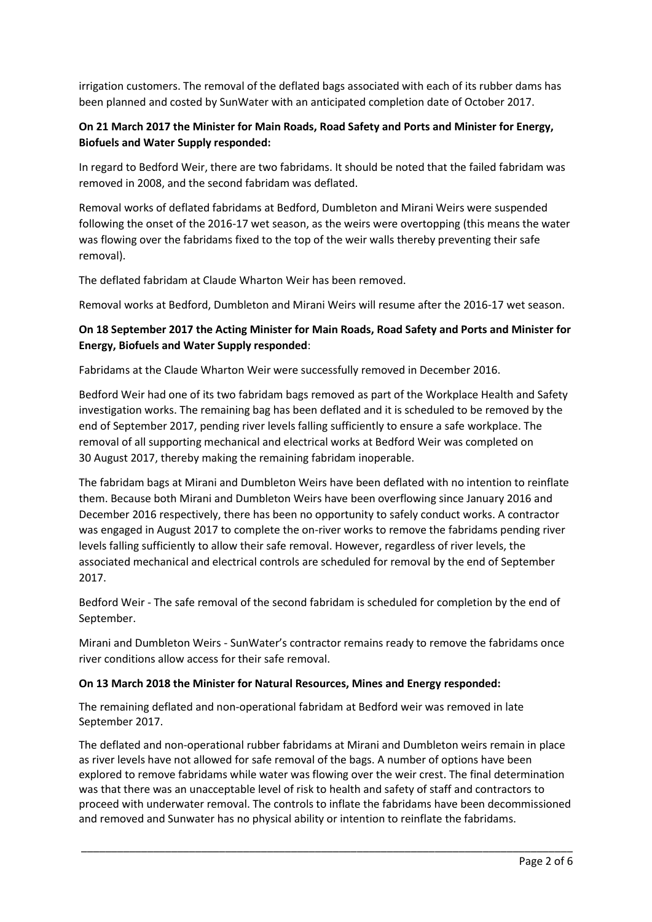irrigation customers. The removal of the deflated bags associated with each of its rubber dams has been planned and costed by SunWater with an anticipated completion date of October 2017.

# **On 21 March 2017 the Minister for Main Roads, Road Safety and Ports and Minister for Energy, Biofuels and Water Supply responded:**

In regard to Bedford Weir, there are two fabridams. It should be noted that the failed fabridam was removed in 2008, and the second fabridam was deflated.

Removal works of deflated fabridams at Bedford, Dumbleton and Mirani Weirs were suspended following the onset of the 2016-17 wet season, as the weirs were overtopping (this means the water was flowing over the fabridams fixed to the top of the weir walls thereby preventing their safe removal).

The deflated fabridam at Claude Wharton Weir has been removed.

Removal works at Bedford, Dumbleton and Mirani Weirs will resume after the 2016-17 wet season.

# **On 18 September 2017 the Acting Minister for Main Roads, Road Safety and Ports and Minister for Energy, Biofuels and Water Supply responded**:

Fabridams at the Claude Wharton Weir were successfully removed in December 2016.

Bedford Weir had one of its two fabridam bags removed as part of the Workplace Health and Safety investigation works. The remaining bag has been deflated and it is scheduled to be removed by the end of September 2017, pending river levels falling sufficiently to ensure a safe workplace. The removal of all supporting mechanical and electrical works at Bedford Weir was completed on 30 August 2017, thereby making the remaining fabridam inoperable.

The fabridam bags at Mirani and Dumbleton Weirs have been deflated with no intention to reinflate them. Because both Mirani and Dumbleton Weirs have been overflowing since January 2016 and December 2016 respectively, there has been no opportunity to safely conduct works. A contractor was engaged in August 2017 to complete the on-river works to remove the fabridams pending river levels falling sufficiently to allow their safe removal. However, regardless of river levels, the associated mechanical and electrical controls are scheduled for removal by the end of September 2017.

Bedford Weir - The safe removal of the second fabridam is scheduled for completion by the end of September.

Mirani and Dumbleton Weirs - SunWater's contractor remains ready to remove the fabridams once river conditions allow access for their safe removal.

#### **On 13 March 2018 the Minister for Natural Resources, Mines and Energy responded:**

The remaining deflated and non-operational fabridam at Bedford weir was removed in late September 2017.

The deflated and non-operational rubber fabridams at Mirani and Dumbleton weirs remain in place as river levels have not allowed for safe removal of the bags. A number of options have been explored to remove fabridams while water was flowing over the weir crest. The final determination was that there was an unacceptable level of risk to health and safety of staff and contractors to proceed with underwater removal. The controls to inflate the fabridams have been decommissioned and removed and Sunwater has no physical ability or intention to reinflate the fabridams.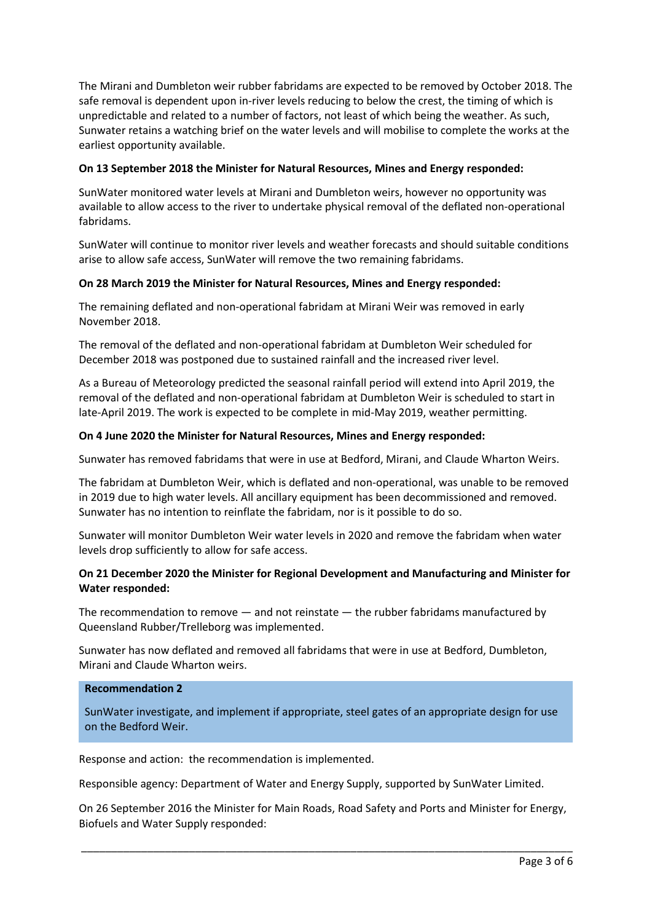The Mirani and Dumbleton weir rubber fabridams are expected to be removed by October 2018. The safe removal is dependent upon in-river levels reducing to below the crest, the timing of which is unpredictable and related to a number of factors, not least of which being the weather. As such, Sunwater retains a watching brief on the water levels and will mobilise to complete the works at the earliest opportunity available.

## **On 13 September 2018 the Minister for Natural Resources, Mines and Energy responded:**

SunWater monitored water levels at Mirani and Dumbleton weirs, however no opportunity was available to allow access to the river to undertake physical removal of the deflated non-operational fabridams.

SunWater will continue to monitor river levels and weather forecasts and should suitable conditions arise to allow safe access, SunWater will remove the two remaining fabridams.

## **On 28 March 2019 the Minister for Natural Resources, Mines and Energy responded:**

The remaining deflated and non-operational fabridam at Mirani Weir was removed in early November 2018.

The removal of the deflated and non-operational fabridam at Dumbleton Weir scheduled for December 2018 was postponed due to sustained rainfall and the increased river level.

As a Bureau of Meteorology predicted the seasonal rainfall period will extend into April 2019, the removal of the deflated and non-operational fabridam at Dumbleton Weir is scheduled to start in late-April 2019. The work is expected to be complete in mid-May 2019, weather permitting.

## **On 4 June 2020 the Minister for Natural Resources, Mines and Energy responded:**

Sunwater has removed fabridams that were in use at Bedford, Mirani, and Claude Wharton Weirs.

The fabridam at Dumbleton Weir, which is deflated and non-operational, was unable to be removed in 2019 due to high water levels. All ancillary equipment has been decommissioned and removed. Sunwater has no intention to reinflate the fabridam, nor is it possible to do so.

Sunwater will monitor Dumbleton Weir water levels in 2020 and remove the fabridam when water levels drop sufficiently to allow for safe access.

## **On 21 December 2020 the Minister for Regional Development and Manufacturing and Minister for Water responded:**

The recommendation to remove — and not reinstate — the rubber fabridams manufactured by Queensland Rubber/Trelleborg was implemented.

Sunwater has now deflated and removed all fabridams that were in use at Bedford, Dumbleton, Mirani and Claude Wharton weirs.

### **Recommendation 2**

SunWater investigate, and implement if appropriate, steel gates of an appropriate design for use on the Bedford Weir.

Response and action: the recommendation is implemented.

Responsible agency: Department of Water and Energy Supply, supported by SunWater Limited.

On 26 September 2016 the Minister for Main Roads, Road Safety and Ports and Minister for Energy, Biofuels and Water Supply responded: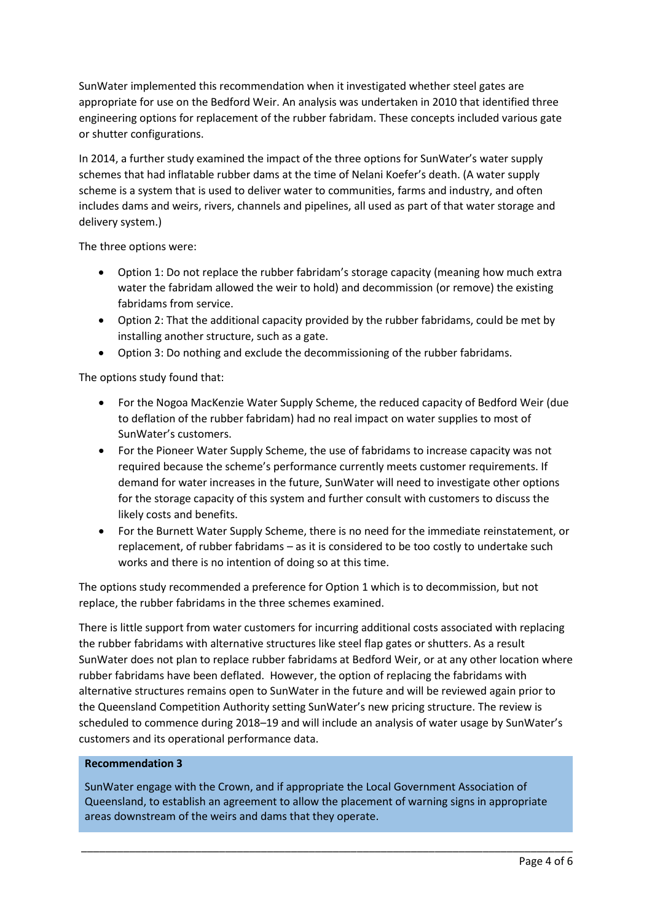SunWater implemented this recommendation when it investigated whether steel gates are appropriate for use on the Bedford Weir. An analysis was undertaken in 2010 that identified three engineering options for replacement of the rubber fabridam. These concepts included various gate or shutter configurations.

In 2014, a further study examined the impact of the three options for SunWater's water supply schemes that had inflatable rubber dams at the time of Nelani Koefer's death. (A water supply scheme is a system that is used to deliver water to communities, farms and industry, and often includes dams and weirs, rivers, channels and pipelines, all used as part of that water storage and delivery system.)

The three options were:

- Option 1: Do not replace the rubber fabridam's storage capacity (meaning how much extra water the fabridam allowed the weir to hold) and decommission (or remove) the existing fabridams from service.
- Option 2: That the additional capacity provided by the rubber fabridams, could be met by installing another structure, such as a gate.
- Option 3: Do nothing and exclude the decommissioning of the rubber fabridams.

The options study found that:

- For the Nogoa MacKenzie Water Supply Scheme, the reduced capacity of Bedford Weir (due to deflation of the rubber fabridam) had no real impact on water supplies to most of SunWater's customers.
- For the Pioneer Water Supply Scheme, the use of fabridams to increase capacity was not required because the scheme's performance currently meets customer requirements. If demand for water increases in the future, SunWater will need to investigate other options for the storage capacity of this system and further consult with customers to discuss the likely costs and benefits.
- For the Burnett Water Supply Scheme, there is no need for the immediate reinstatement, or replacement, of rubber fabridams – as it is considered to be too costly to undertake such works and there is no intention of doing so at this time.

The options study recommended a preference for Option 1 which is to decommission, but not replace, the rubber fabridams in the three schemes examined.

There is little support from water customers for incurring additional costs associated with replacing the rubber fabridams with alternative structures like steel flap gates or shutters. As a result SunWater does not plan to replace rubber fabridams at Bedford Weir, or at any other location where rubber fabridams have been deflated. However, the option of replacing the fabridams with alternative structures remains open to SunWater in the future and will be reviewed again prior to the Queensland Competition Authority setting SunWater's new pricing structure. The review is scheduled to commence during 2018–19 and will include an analysis of water usage by SunWater's customers and its operational performance data.

#### **Recommendation 3**

SunWater engage with the Crown, and if appropriate the Local Government Association of Queensland, to establish an agreement to allow the placement of warning signs in appropriate areas downstream of the weirs and dams that they operate.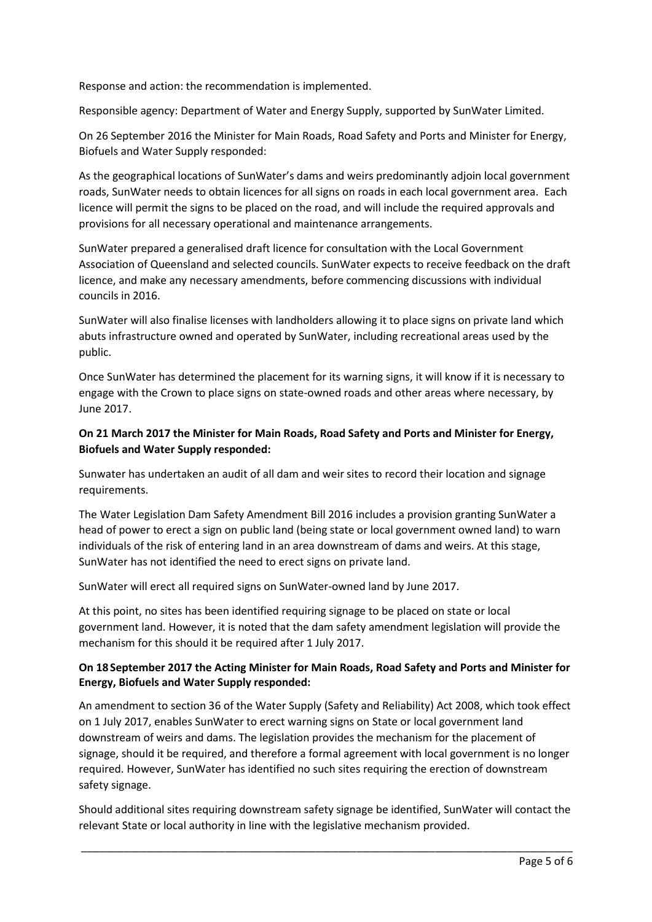Response and action: the recommendation is implemented.

Responsible agency: Department of Water and Energy Supply, supported by SunWater Limited.

On 26 September 2016 the Minister for Main Roads, Road Safety and Ports and Minister for Energy, Biofuels and Water Supply responded:

As the geographical locations of SunWater's dams and weirs predominantly adjoin local government roads, SunWater needs to obtain licences for all signs on roads in each local government area. Each licence will permit the signs to be placed on the road, and will include the required approvals and provisions for all necessary operational and maintenance arrangements.

SunWater prepared a generalised draft licence for consultation with the Local Government Association of Queensland and selected councils. SunWater expects to receive feedback on the draft licence, and make any necessary amendments, before commencing discussions with individual councils in 2016.

SunWater will also finalise licenses with landholders allowing it to place signs on private land which abuts infrastructure owned and operated by SunWater, including recreational areas used by the public.

Once SunWater has determined the placement for its warning signs, it will know if it is necessary to engage with the Crown to place signs on state-owned roads and other areas where necessary, by June 2017.

# **On 21 March 2017 the Minister for Main Roads, Road Safety and Ports and Minister for Energy, Biofuels and Water Supply responded:**

Sunwater has undertaken an audit of all dam and weir sites to record their location and signage requirements.

The Water Legislation Dam Safety Amendment Bill 2016 includes a provision granting SunWater a head of power to erect a sign on public land (being state or local government owned land) to warn individuals of the risk of entering land in an area downstream of dams and weirs. At this stage, SunWater has not identified the need to erect signs on private land.

SunWater will erect all required signs on SunWater-owned land by June 2017.

At this point, no sites has been identified requiring signage to be placed on state or local government land. However, it is noted that the dam safety amendment legislation will provide the mechanism for this should it be required after 1 July 2017.

## **On 18 September 2017 the Acting Minister for Main Roads, Road Safety and Ports and Minister for Energy, Biofuels and Water Supply responded:**

An amendment to section 36 of the Water Supply (Safety and Reliability) Act 2008, which took effect on 1 July 2017, enables SunWater to erect warning signs on State or local government land downstream of weirs and dams. The legislation provides the mechanism for the placement of signage, should it be required, and therefore a formal agreement with local government is no longer required. However, SunWater has identified no such sites requiring the erection of downstream safety signage.

Should additional sites requiring downstream safety signage be identified, SunWater will contact the relevant State or local authority in line with the legislative mechanism provided.